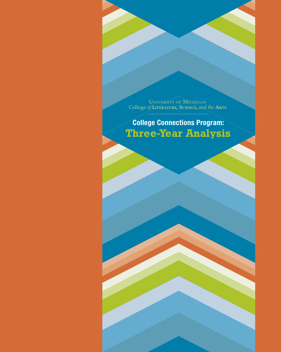UNIVERSITY OF MICHIGAN College *of* **Literature, Science,** *and the* **Arts**

UNIVERSITY OF MICHAELER<br>College CONNections Program:<br>Three-Year Analysis UNIVERSITY OF MICHIGAN<br>College of LITRATURE, SCIENCE, and the ARTS<br>College Connections Program:<br>Three-Year Analysis **College Connections Program: Three-Year Analysis**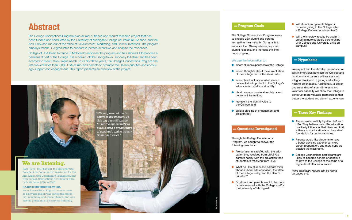# **Abstract**

The College Connections Program is an alumni outreach and market research project that has been funded and conducted by the University of Michigan's College of Literature, Science, and the Arts (LSA) and run out of the office of Development, Marketing, and Communications. The program employs recent LSA graduates to conduct in-person interviews and analyze the responses.

- **In Will alumni and parents begin or** increase giving to the College after a College Connections interview?
- $\bullet$  Will the interview results be useful in creating more strategic partnerships with College and University units on campus?

College of LSA Dean Terrence J. McDonald endorses the program and has allowed it to become a permanent part of the College. It is modeled off the Georgetown Discovery Initiative<sup>1</sup> and has been adapted to meet LSA's unique needs. In its first three years, the College Connections Program has interviewed more than 3,000 LSA alumni and parents to promote the Dean's priorities and encour age support and engagement. This report presents an overview of the project.

- **Alumni are incredibly loyal to U-M and** LSA. They believe their LSA education positively influences their lives and that a liberal arts education is an important foundation for undergraduates.
- **•** Parents would like students to have a better advising experience, more career preparation, and more support outside the classroom.
- **College Connections participants are** likely to become donors or continue to give to the College at the same or a higher level after an interview.

### **Hypothesis**

We expect that the elevated personal con tact in interviews between the College and its alumni and parents will translate into a higher likelihood of giving and willing ness to be engaged. Additionally, a better understanding of alumni interests and volunteer capacity will allow the College to construct more valuable partnerships that better the student and alumni experiences.

- $\bullet$  record alumni experiences at the College;
- $\bullet$  record thoughts about the current state of the College and of the liberal arts;
- $\bullet$  record feedback about what alumni believe to be important to the College's advancement and sustainability;
- l obtain more accurate alumni data and personal information;
- $\bullet$  represent the alumni voice to the College; and
- **u** build a pipeline of engagement and philanthropy.

### **Three Key Findings**

- **Are our alumni satisfied with the edu**cation they received from LSA? Are parents happy with the education their students are receiving from LSA?
- **In What do LSA alumni and parents think** about a liberal arts education, the state of the College today, and the Dean's priorities?
- **IDO** alumni and parents want to be more or less involved with the College and/or the University of Michigan?

*More significant results can be found on pages 6–9.* 

### **Program Goals**

The College Connections Program seeks to engage LSA alumni and parents and gather their insights. Our goal is to enhance the LSA experience, improve alumni relations, and increase the likeli hood of giving.

### We use the information to:

### **Questions Investigated**

Through the College Connections Program, we sought to answer the following questions:

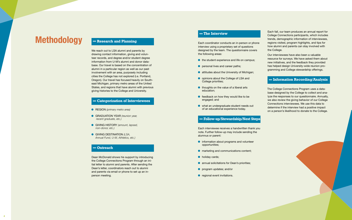# **Methodology Research and Planning**

We reach out to LSA alumni and parents by drawing contact information, giving and volunteer records, and degree and/or student degree information from U-M's alumni and donor database. Our travel is based on the concentration of alumni in a particular region as well as our past involvement with an area, purposely including cities the College has not explored (i.e. Portland, Oregon). Our travel has focused heavily on Southeast Michigan, primary metro areas of the United States, and regions that have alumni with previous giving histories to the College and University.

- **e** REGION (primary metro area)
- **c** GRADUATION YEAR (reunion year,  *recent graduate, etc.)*
- **GIVING HISTORY** *(amount, lapsed, non-donor, etc.)*
- **e** GIVING DESTINATION *(LSA, Annual Fund, U-M, Athletics, etc.)*

### **Categorization of Interviewees**

- $\bullet$  the student experience and life on campus;
- **e** personal lives and career paths;
- $\bullet$  attitudes about the University of Michigan;
- **.** opinions about the College of LSA and College priorities;
- $\bullet$  thoughts on the value of a liberal arts education;
- $\bullet$  feedback on how they would like to be engaged; and
- $\bullet$  what an undergraduate student needs out of an educational experience today.

### **Outreach**

Dean McDonald shows his support by introducing the College Connections Program through an initial letter to alumni and parents. After sending the Dean's letter, coordinators reach out to alumni and parents via email or phone to set up an inperson meeting.

### **The Interview**

Each coordinator conducts an in-person or phone interview using a proprietary set of questions designed by the team. The questionnaire covers the following areas:

### **Follow-up/Stewardship/Next Steps**

Each interviewee receives a handwritten thank you note. Further follow-up may include sending the alumnus or parent:

- $\bullet$  information about programs and volunteer opportunities;
- **n** marketing and communications content;
- $\bullet$  holiday cards;
- **annual solicitations for Dean's priorities;**
- **o** program updates; and/or
- $\bullet$  regional event invitations.

Each fall, our team produces an annual report for College Connections participants, which includes trends, demographic information of interviewees, regions visited, program highlights, and tips for how alumni and parents can stay involved with the College. Our interviewees have also been a valuable resource for surveys. We have asked them about

new initiatives, and the feedback they provided has helped design University-wide reunion programming and College stewardship offerings.

### **Information Recording/Analysis**

The College Connections Program uses a database designed by the College to collect and analyze the responses to our questionnaire. Annually, we also review the giving behavior of our College Connections interviewees. We use this data to determine if the interview had a positive impact on a person's likelihood to donate to the College.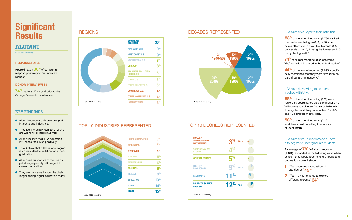# **Significant Results**

### **Alumni**

(2,825 Total Records)

### **Response Rates**

Approximately **30 %**of our alumni respond positively to our interview request.

#### **Dono r Inte v iewees r**

**74 %**made a gift to U-M prior to the College Connections interview.

- **Alumni represent a diverse group of** interests and industries.
- **In They feel incredibly loyal to U-M and** are willing to be more involved.
- **Alumni believe their LSA education** influences their lives positively.
- **In They believe that a liberal arts degree** is an important foundation for undergraduates.
- Alumni are supportive of the Dean's priorities, especially with regard to career preparation.
- **•** They are concerned about the challenges facing higher education today.

### **REGIONS**

### **Key Findings**



### TOP 10 INDUSTRIES REPRESENTE



### D TOP 10 DEGREES REPRESENTED

- **1.** "Yes, everyone needs a liberal arts degree" **45 %**
- **2 .** " Yes, it's your chance to explore different interests" **34 %**



### DECADES REPRESENTED

### LSA alumni feel loyal to their institution.

**83 %** of the alumni reporting (2,736) ranked themselves as being an 8, 9, or 10 when asked " How loyal do you feel towards U-M on a scale of 1–10, 1 being the lowest and 10 being the highest?"

| <b>POLITICAL SCIENCE</b><br><b>ENGLISH</b>                  | 12 <sup>%</sup><br><b>EACH</b> |  |
|-------------------------------------------------------------|--------------------------------|--|
| <b>ECONOMICS</b>                                            | 11%                            |  |
| <b>HISTORY</b><br><b>PSYCHOLOGY</b>                         | ℅<br>$\bullet$<br><b>EACH</b>  |  |
| <b>GENERAL STUDIES</b>                                      | 5 <sup>%</sup>                 |  |
| <b>COMMUNICATION</b><br><b>STUDIES</b>                      | 4%                             |  |
| <b>BIOLOGY</b><br><b>ANTHROPOLOGY</b><br><b>MATHEMATICS</b> | 3 <sup>%</sup><br><b>EACH</b>  |  |

**74 %**of alumni reporting (992) answered " Yes" to " Is U-M headed in the right direction?"

**44 %** of the alumni reporting (1,993) specifi cally mentioned that they were "Proud to be part of our alumni network."

### LSA alumni are willing to be more involved with U-M.

**88 %** of the alumni reporting (929) were ranked by coordinators as a 5 or higher on a "willingness to volunteer" scale of 1–10, with 1 being the least likely to volunteer for U-M and 10 being the mostly likely.

**58 %** of the alumni reporting (2,821) said they would be willing to mentor a student intern.

### LSA alumni would recommend a liberal arts degree to undergraduate students.

An average of **79 %** of alumni reporting (1,161) responded in the following ways when asked if they would recommend a liberal arts degree to a current student: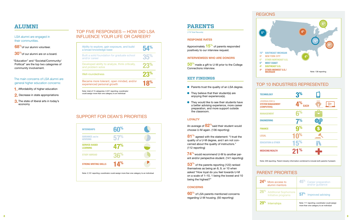### **Alumni**

### LSA alumni are engaged in their communities.

**68 %**of our alumni volunteer.

**30 %**of our alumni are on a board.

" Education" and "Societal/Community/ Political" are the top two categories of community involvement.

### The main concerns of LSA alumni are general higher education concerns:

| Ability to explore, gain exposure, and build<br>a broad knowledge base   | 54%             |
|--------------------------------------------------------------------------|-----------------|
| Built a solid foundation for graduate school<br>and/or career            | 35%             |
| Developed ability to analyze, think critically,<br>and problem solve     | 23 <sup>%</sup> |
| Well-roundedness                                                         | 23%             |
| Became more tolerant, open minded, and/or<br>experienced personal growth | 18%             |

### SUPPORT FOR DEAN'S PRIORITIES

- **1.** Affordability of higher education
- **2.** Decrease in state appropriations
- **3.**The state of liberal arts in today's economy

### TOP FIVE RESPONSES — HOW DID L INFLUENCE YOUR LIFE OR CAREER?

| <b>INTERNSHIPS</b>                        | 60 <sup>%</sup> |  |
|-------------------------------------------|-----------------|--|
| <b>GUIDANCE AND/OR</b><br><b>ADVISING</b> | 57%             |  |
| <b>SERVICE-BASED</b><br><b>LEARNING</b>   | 47%             |  |
| <b>STUDY ABROAD</b>                       | 36%             |  |
| <b>STRONG WRITING SKILLS</b>              | 14%             |  |

#### **iNTERVIEWEES WHO ARE DONORS r r**

- **•** Parents trust the quality of an LSA degree.
- $\bullet$  They believe that their student(s) are enjoying their experience(s).
- $\bullet$  They would like to see their students have a better advising experience, more career preparation, and more support outside the classroom.

### **LOYALTY**

**81**<sup>%</sup> agreed with the statement: "I trust the quality of a U-M degree, and I am not con cerned about the quality of instructors." (112 reporting)

#### **CONCERNS c**

### **Parents**

(179 Total Records)

### **Response Rates**

Approximately **15 %** of parents responded positively to our interview request.

**50 %**made a gift to U-M prior to the College Connections interview.

### **Key Findings**

An average of **82 %**said their student would choose U-M again. (136 reporting)

**74 %**would recommend U-M to another parent and/or perspective student. (141 reporting)

**53 %** of the parents reporting (122) ranked themselves as being an 8, 9, or 10 when asked " How loyal do you feel towards U-M on a scale of 1–10, 1 being the lowest and 10 being the highest?"

**60 %** of LSA parents mentioned concerns regarding U-M housing. (50 reporting)

# **REGIONS**

### **te chnology**

**journ alis m & syste m ma n age ( c omputers)**

**engineering**

**EDUCATION & OT** 

**MEDICINE/HEAL** 

# PARENT PRIORITIES



### TOP 10 INDUSTRIES REPRESENTED

| 5 <sup>%</sup><br>72%<br><b>SOUTHEAST MICHIGAN</b><br>9%<br><b>NEW YORK CITY</b><br>6%<br><b>OTHER NORTHEAST U.S.</b><br>5%<br><b>WEST COAST</b> | 4%<br>4%              | $9^\circ$           |
|--------------------------------------------------------------------------------------------------------------------------------------------------|-----------------------|---------------------|
| 4%<br><b>SOUTHEAST U.S.</b><br>4%<br><b>OTHER MIDWEST U.S./</b><br><b>MICHIGAN</b>                                                               |                       | Note: 138 reporting |
| OP 10 INDUSTRIES REPRESENTED                                                                                                                     |                       |                     |
| TECHNOLOGY                                                                                                                                       | 3 <sup>%</sup>        |                     |
| JOURNALISM &<br><b>SYSTEM MANAGEMENT</b><br>(COMPUTERS)                                                                                          | 4%<br><b>EACH</b>     | (((∙                |
| <b>MANAGEMENT</b>                                                                                                                                | နြ%                   |                     |
| <b>ENGINEERING</b>                                                                                                                               | 7%                    |                     |
| <b>FINANCE</b>                                                                                                                                   | $\mathbf{Q}^{\%}$     |                     |
| LEGAL                                                                                                                                            | ℅                     |                     |
| <b>EDUCATION &amp; OTHER</b>                                                                                                                     | <b>15<sup>%</sup></b> |                     |
| <b>MEDICINE/HEALTH</b>                                                                                                                           | 21%                   |                     |
| Note: 228 reporting. Parent industry information combined to include both parents if present.                                                    |                       |                     |

| % | More access to<br>alumni mentors                   | <b>45<sup>%</sup></b> Career preparation<br>and/or guidance                              |
|---|----------------------------------------------------|------------------------------------------------------------------------------------------|
|   | <b>Additional Sophomore</b><br>Initiative programs | 57%<br>Improved advising                                                                 |
|   | Internships                                        | Note: 111 reporting; coordinator could assign<br>more than one category to an individual |

| 24% | More access to<br>alumni mentors                     |
|-----|------------------------------------------------------|
|     | 26 <sup>%</sup> Additional Soph<br>Initiative progra |
| 29% | Internships                                          |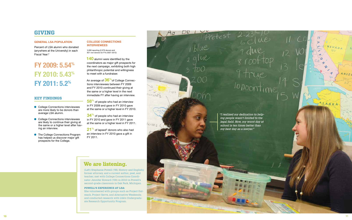#### **GENERAL LSA POPULATION r**

Percent of LSA alumni who donated (anywhere at the University) in each Fiscal Year: 2

# **FY 2009: 5.54 % FY 2010: 5.43 % FY 2011: 5.2 %**

### **Key Findings**

- **College Connections interviewees** are more likely to be donors than average LSA alumni.
- **College Connections interviewees** are likely to continue their giving at the same or a higher level after hav ing an interview.
- **The College Connections Program** has helped us discover major gift prospects for the College.

#### **COLLEGE CONNECTIONS c interviewees r**

**140** alumni were identified by the coordinators as major gift prospects for the next campaign, exhibiting both high philanthropic potential and willingness to meet with a fundraiser.

3,000 reporting (2,079 donors and 921 non-donors for F Ys 2007–2012)

21<sup>%</sup> of lapsed<sup>3</sup> donors who also had an interview in F Y 2010 gave a gift in F Y 2011.

An average of **36 %**of College Connec tions interviewees between F Y 2009 and F Y 2010 continued their giving at the same or a higher level in the next immediate F Y after having an interview.

**58 %** of people who had an interview in F Y 2009 and gave in F Y 2010 gave at the same or a higher level in F Y 2010.

**34 %** of people who had an interview in F Y 2010 and gave in F Y 2011 gave at the same or a higher level in F Y 2011.

### **Giving**

Robert Ramey

**ME** 

**Lease Many** 

Aa

 $ha+$ 

poratés

lenses

nd

Pretes



*ing people wasn't limited to the legal field. Now, my worst day at school is ten times better than my best day as a lawyer."*



# **We are listening.**

(Left) Stephanie Powell ('99, History and English); former attorney, and a current author, poet, and teacher; met with College Connections Coordi nator Jennifer Howard ('09) in 2010 in Powell's second-grade classroom in Oak Park, Michigan.

### **Powell's experience at LSA:**

She volunteered with groups such as Project Out reach, Project Serve, and Alternative Weekends; and conducted research with LSA's Undergradu ate Research Opportunity Program.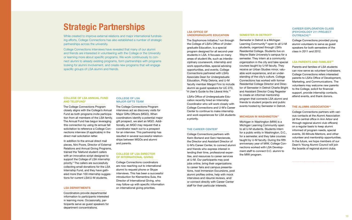# **Strategic Partnerships**

While created to improve external relations and major international fundraising efforts, College Connections has also established a number of strategic partnerships across the university.

College Connections interviews have revealed that many of our alumni and friends are interested in volunteering with the College or the University or learning more about specific programs. We work continuously to connect alumni to already existing programs, form partnerships with programs looking for alumni involvement, and create new programs that will engage specific groups of LSA alumni and friends.

### **College of LSA Annual Fund and Telefund4**

The College Connections Program closely aligns with the College's Annual Fund as both programs invite participation from all members of the LSA family. The Annual Fund has begun leveraging this connection by using its annual fall solicitation to reference a College Connections interview (if applicable) in the direct mail solicitation letter.

In addition to the annual direct mail pieces, Nini Poore, Director of External Relations and Annual Giving Programs, trained the Telefund student callers with an innovative script designed to support the College of LSA internship priority.5 The callers are successfully collecting small donations for the LSA Internship Fund, and they have gathered more than 100 internship suggestions for current LSA/U-M students.

### **LSA Departments**

The Sophomore Initiative,<sup>6</sup> run through the College of LSA's Office of Undergraduate Education, is a special program designed for all second-year students in LSA. It focuses on many areas of student life, such as interdisciplinary coursework, internship and work opportunities, special advising opportunities, and events. College Connections partnered with LSA's Associate Dean for Undergraduate Education, Philip Deloria, and U-M faculty member Margot Finn to include alumni as guest speakers for UC 270, "A User's Guide to the Liberal Arts."7

Coordinators provide departmental information to participants interested in learning more. Occasionally, participants serve as guest speakers for department concentrations.

### **College of LSA Major Gifts Team**

The College Connections Program interviews act as discovery visits for Major Gifts Officers (MGO). When coordinators identify a potential major gift prospect, we alert an MGO. Additionally, an MGO may request that a coordinator reach out to a prospect for an interview. This partnership has resulted in several successful relationships between MGOs and alumni and parents.

### **College of LSA Director of International Giving**

College Connections coordinators are now reaching out to international alumni to request phone or Skype interviews. This has been a successful introduction for Klementina Sula, the Director of International Giving, who may follow-up with specific information on international giving priorities.

### **LSA Office of Undergraduate Education**

LSA's Office of Undergraduate Education recently hired an Internship Coordinator who will work closely with College Connections and U-M's Career Center to continue to make internship and work experiences for LSA students a priority.

### **THE CAREER CENTER<sup>8</sup>**

College Connections partners with Kerin Borland and Geni Harclerode, the Director and Assistant Director of U-M's Career Center, to connect alumni and friends who express interest in lending their time, professional expertise, and resources to career services at U-M. Our participants may post jobs online, bring their organizations to career fairs and campus presentations, host Immersion Excursions, post alumni profiles online, help with mock interviews and résumé reviews, and/ or connect directly with Career Center staff for their particular interests.

### **Semester in Detroit9**

Semester in Detroit is a Michigan Learning Community<sup>10</sup> open to all U-M students, organized through LSA's Residential College. Students live on Wayne State University's campus for a semester. They intern at a community organization in the city and take special courses taught by U-M faculty. They receive an Urban Studies minor, valuable work experience, and an understanding of the city's culture. College Connections has worked with former Residential College Director and Director of Semester in Detroit Charlie Bright and Assistant Director Craig Regester to create an informal mentorship program that connects LSA alumni and friends to student projects and public events hosted by Semester in Detroit.

### **MICHIGAN IN WASHINGTON<sup>11</sup>**

Michigan in Washington (MIW) is a Michigan Learning Community open to all U-M students. Students intern for a public entity in Washington, D.C., for a semester, and they take courses taught by U-M faculty. During the fifth anniversary year of MIW, College Connections worked with LSA Development staff to connect D.C. alumni to the MIW program.

### **Career Exploration Class (Psychology 211 Project OutreacH) 12**

College Connections provided young alumni volunteers to serve as guest speakers for both semesters of the class in 2011 and 2012.

### **LSA Parents and FamiliES13**

Parents and families of LSA students can now serve as volunteer fundraisers. College Connections refers interested parents to LSA's Office of Development, Marketing, and Communications. The volunteers may welcome new parents to the College, solicit for financial support, provide internship contacts, attend events, and thank donors.

### **THE ALUMNI ASSOCIATION<sup>14</sup>**

College Connections partners with various contacts at the Alumni Association (at the central office in Ann Arbor and through regional alumni club officers) on a regular basis to keep alumni informed of program needs, special events, 30-Minute Mentors, and other volunteer and mentorship opportunities. In the future, we hope members of our Dean's Young Alumni Council will join the boards of regional alumni clubs.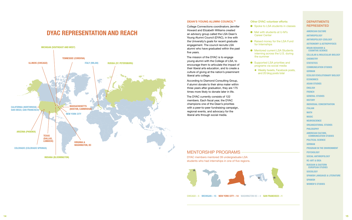

# **DYAC Representation and Reach**

### **Dean's Young Alumni CouncIL15**

College Connections coordinators Jennifer Howard and Elizabeth Williams created an advisory group called the LSA Dean's Young Alumni Council (DYAC), in line with the University's goals for recent graduate engagement. The council recruits LSA alumni who have graduated within the past five years.

The mission of the DYAC is to engage young alumni with the College of LSA, to encourage them to articulate the impact of their liberal arts education, and to create a culture of giving at the nation's preeminent liberal arts college.

- 
- **In Met with students at U-M's** Career Center
- **e** Raised money for the LSA Fund for Internships
- **Mentored current LSA Students** interning across the U.S. during the summer
- **e** Supported LSA priorities and programs via social media
	- ◆ Weekly tweets, Facebook posts, and 20 blog posts total

### **DEPARTMENTS** Represented

According to Diamond Consulting Group, if alumni donate to their alma mater within three years after graduation, they are 175 times more likely to donate later in life.

The DYAC currently consists of 122 members. Each fiscal year, the DYAC champions one of the Dean's priorities with a peer-to-peer fundraising campaign, regional events, and advocacy for the liberal arts through social media.

### Other DYAC volunteer efforts:

**American Culture Anthropology Anthropology-Zoology Astronomy & Astrophysics Brain Behavior & Cognitive Science Cellular & Molecular Biology Chemistry STATISTICS Communication Studies German Ecology/Evolutionary Biology Economics Asian Studies English French General Studies History Individual Concentration Italian Math Music Neuroscience Organizational Studies Philosophy American Culture, Communication Studies Political Science German Program in the Environment Psychology Social Anthropology RC-Art & Idea Russian & Eastern European Studies Sociology Spanish Language & Literature Spanish Women's Studies**

### mentorship programs

DYAC members mentored 39 undergraduate LSA students who had internships in one of five regions.



● Spoke to LSA students in classes

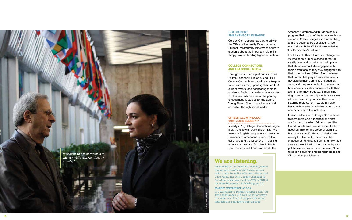College Connections has partnered with the Office of University Development's Student Philanthropy Initiative to educate students about the important role philan thropy plays in funding higher education.

# $\overline{\phantom{a}}$

In early 2012, College Connections began a partnership with Julie Ellison, LSA Pro fessor of English Language and Literature, Professor of American Culture, Profes sor of Art, and the Director of Imagining America: Artists and Scholars in Public Life Consortium. Ellison works with the

<sup>16</sup> <sup>17</sup> **U-M Student Philanthropy Initiative COLLEGE CONNECTIONS and LSA SOCIAL MEDIA** Through social media platforms such as Twitter, Facebook, Linked In, and Flickr, College Connections coordinators keep in touch with alumni, updating them on LSA current events, and connecting them to students. Each coordinator shares stories, photos, and advice. One of the primary engagement strategies for the Dean's Young Alumni Council is advocacy and education through social media. The basis of Citizen Alum is to change the viewpoint on alumni relations at the Uni versity level and to put a plan into place that allows alumni to be engaged with their institutions as they stay engaged with their communities. Citizen Alum believes that universities play an important role in developing their alumni as engaged citi zens, and they are conducting research on how universities stay connected with their alumni after they graduate. Ellison is put ting together partnerships with universities all over the country to have them conduct "listening projects" on how alumni give back, with money or volunteer time, to the

# **CITIZEN ALUM PROJECT<br>WITH JULIE ELLISON<sup>16</sup>**

American Commonwealth Partnership (a program that is part of the American Asso ciation of State Colleges and Universities), and she began a project called "Citizen Alum" through the White House initiative, "For Democracy's Future."

community or to the institution. Ellison partners with College Connections to learn more about recent alumni that are from southeastern Michigan and the Grand Rapids area. We have modified our questionnaire for this group of alumni to learn more specifically about their com munity involvement, where their civic engagement originates from, and how their careers have linked to the community and public service. We will also connect Ellison to specific alumni to record their stories as Citizen Alum participants.

Carolin Sanz Noriega



Edward Marks ('57, Political Science), career foreign service officer and former ambas sador to the Republics of Guinea-Bissau and Cape Verde, met with College Connections Coordinator Klementina Sula ('07) in 2011 at the State Department in Washington, D.C.

### Marks' experience at LSA:

In a world before Twitter, Facebook, and You - Tube, Marks says LSA was "an introduction to a wider world, full of people with varied interests and characters from all over."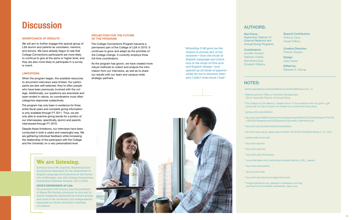# **Discussion**

### **Significance of Results**

We will aim to further engage this special group of LSA alumni and parents as volunteers, mentors, and donors. We have already begun to see that College Connections participants are more likely to continue to give at the same or higher level, and they are also more likely to participate in a survey or event.

### **Limitations**

When the program began, the available resources to document interviews were limited. Our participants are also self-selected; they're often people who have been previously involved with the college. Additionally, our questions are anecdotal and open-ended in nature, so coordinators must often categorize responses subjectively.

<sup>3</sup> The College of LSA deems a "lapsed donor" to be someone who has given a gift previously but has not given for at least two consecutive fiscal years.

The program has only been in existence for three entire fiscal years and complete giving information is only available through FY 2011. Thus, we are only able to examine giving trends for a portion of our interviewees, specifically, alumni and parents interviewed through FY 2010.

- <sup>2</sup> Referenced from Office of University Development, Senior Associate Director of Annual Giving
- 
- 4 giving.umich.edu/telefund
- 
- <sup>6</sup> Isa.umich.edu/students/sophomoreinitiative
- 
- 8 careercenter.umich.edu
- 9 lsa.umich.edu/sid
- <sup>10</sup> lsa.umich.edu/mlc
- <sup>11</sup> lsa.umich.edu/michinwash
- 
- <sup>13</sup> lsa.umich.edu/parents
- <sup>14</sup> alumni.umich.edu
- <sup>15</sup> lsa.umich.edu/alumni/youngalumnicouncil
- <sup>16</sup> imaginingamerica.org; adpaascu.wordpress.com/tag/ american-commonwealth-partnership; aascu.org

Despite these limitations, our interviews have been conducted in both a useful and meaningful way. We are gathering individual feedback while increasing the relationship of the participant with the College and the University on a very personalized level.

<sup>1</sup>alumni.georgetown.edu/benefitsresources/benefitsresources\_13

<sup>5</sup>lsa.umich.edu/UMICH/alumni/Home/Supporting%20the%20LSA%20Vision/The%20 LSA%20Undergraduate%20Experience/priorities\_Internships.pdf

7 lsa.umich.edu/cg/cg\_detail.aspx?content=1910UC270002&termArray=f\_12\_1910

<sup>12</sup> www.sitemaker.umich.edu/projectoutreach/section\_005\_\_careers

#### Nini Poore,

*Supervisor, Director of External Relations and Annual Giving Programs*

Coordinators: Jennifer Howard

Kathleen Hinkley Klementina Sula Elizabeth Williams

### NOTES:

Special Contributors: Anthony Cece Hanah Wilkins

Creative Direction: Patricia Claydon

Design: Carly Parker

Edited by: Rebekah K. Murray



### **AUTHORS:**

### **We are listening.**

Anthony Cece ('96, English), Marketing Communications Specialist for the Department of English Language and Literature at the University of Michigan, met with College Connections Coordinator Kathleen Hinkley ('10) in 2012.

#### **Cece's experience at LSA:**

He graduated with honors; was the president of Sigma Phi Society; produced an arts and literature magazine sponsored by several groups and units at the university; and independently organized art shows and poetry readings on campus.

*"Attending U-M gave me the chance to pursue ALL of my interests—from the study of English Language and Literature to the study of Fine Arts and Graphic Design—and opened up all kinds of opportunities for me to discover interests I didn't even know I had."*

### **Projection for the future of the program**

The College Connections Program became a permanent part of the College of LSA in 2010. It continues to grow and adapt as the priorities of the College change. It currently employs three full-time coordinators.

As the program has grown, we have created more robust methods to collect and analyze the information from our interviews, as well as to share our results with our team and campus-wide strategic partners.